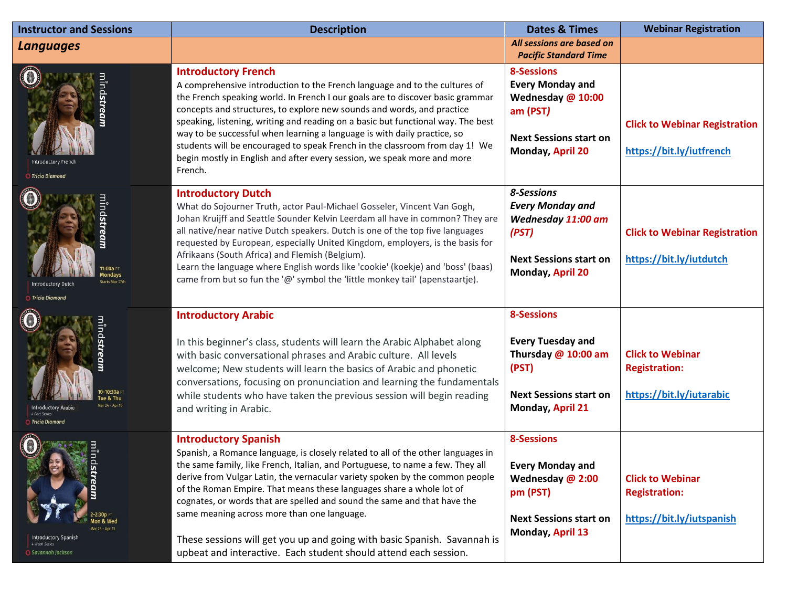| <b>Instructor and Sessions</b>                                                            | <b>Description</b>                                                                                                                                                                                                                                                                                                                                                                                                                                                                                                                                                                                                                   | <b>Dates &amp; Times</b>                                                                                                           | <b>Webinar Registration</b>                                                  |
|-------------------------------------------------------------------------------------------|--------------------------------------------------------------------------------------------------------------------------------------------------------------------------------------------------------------------------------------------------------------------------------------------------------------------------------------------------------------------------------------------------------------------------------------------------------------------------------------------------------------------------------------------------------------------------------------------------------------------------------------|------------------------------------------------------------------------------------------------------------------------------------|------------------------------------------------------------------------------|
| Languages                                                                                 |                                                                                                                                                                                                                                                                                                                                                                                                                                                                                                                                                                                                                                      | All sessions are based on<br><b>Pacific Standard Time</b>                                                                          |                                                                              |
| Tricia Diamond                                                                            | <b>Introductory French</b><br>A comprehensive introduction to the French language and to the cultures of<br>the French speaking world. In French I our goals are to discover basic grammar<br>concepts and structures, to explore new sounds and words, and practice<br>speaking, listening, writing and reading on a basic but functional way. The best<br>way to be successful when learning a language is with daily practice, so<br>students will be encouraged to speak French in the classroom from day 1! We<br>begin mostly in English and after every session, we speak more and more<br>French.                            | <b>8-Sessions</b><br><b>Every Monday and</b><br>Wednesday @ 10:00<br>am (PST)<br><b>Next Sessions start on</b><br>Monday, April 20 | <b>Click to Webinar Registration</b><br>https://bit.ly/iutfrench             |
| <b>Starts Mar 27t</b><br><b>Introductory Dutch</b><br><b>Tricia Diamona</b>               | <b>Introductory Dutch</b><br>What do Sojourner Truth, actor Paul-Michael Gosseler, Vincent Van Gogh,<br>Johan Kruijff and Seattle Sounder Kelvin Leerdam all have in common? They are<br>all native/near native Dutch speakers. Dutch is one of the top five languages<br>requested by European, especially United Kingdom, employers, is the basis for<br>Afrikaans (South Africa) and Flemish (Belgium).<br>Learn the language where English words like 'cookie' (koekje) and 'boss' (baas)<br>came from but so fun the '@' symbol the 'little monkey tail' (apenstaartje).                                                        | 8-Sessions<br><b>Every Monday and</b><br>Wednesday 11:00 am<br>(PST)<br><b>Next Sessions start on</b><br>Monday, April 20          | <b>Click to Webinar Registration</b><br>https://bit.ly/iutdutch              |
| Tue & Thu<br>Mar 24 Apr 16<br><b>Introductory Arabic</b><br><b>Tricia Diamond</b>         | <b>Introductory Arabic</b><br>In this beginner's class, students will learn the Arabic Alphabet along<br>with basic conversational phrases and Arabic culture. All levels<br>welcome; New students will learn the basics of Arabic and phonetic<br>conversations, focusing on pronunciation and learning the fundamentals<br>while students who have taken the previous session will begin reading<br>and writing in Arabic.                                                                                                                                                                                                         | <b>8-Sessions</b><br><b>Every Tuesday and</b><br>Thursday @ 10:00 am<br>(PST)<br><b>Next Sessions start on</b><br>Monday, April 21 | <b>Click to Webinar</b><br><b>Registration:</b><br>https://bit.ly/iutarabic  |
| 1on & Wed<br>Mar 25 - Apr 13<br>Introductory Spanish<br>4 Week Series<br>Savannah Jackson | <b>Introductory Spanish</b><br>Spanish, a Romance language, is closely related to all of the other languages in<br>the same family, like French, Italian, and Portuguese, to name a few. They all<br>derive from Vulgar Latin, the vernacular variety spoken by the common people<br>of the Roman Empire. That means these languages share a whole lot of<br>cognates, or words that are spelled and sound the same and that have the<br>same meaning across more than one language.<br>These sessions will get you up and going with basic Spanish. Savannah is<br>upbeat and interactive. Each student should attend each session. | <b>8-Sessions</b><br><b>Every Monday and</b><br>Wednesday @ 2:00<br>pm (PST)<br><b>Next Sessions start on</b><br>Monday, April 13  | <b>Click to Webinar</b><br><b>Registration:</b><br>https://bit.ly/iutspanish |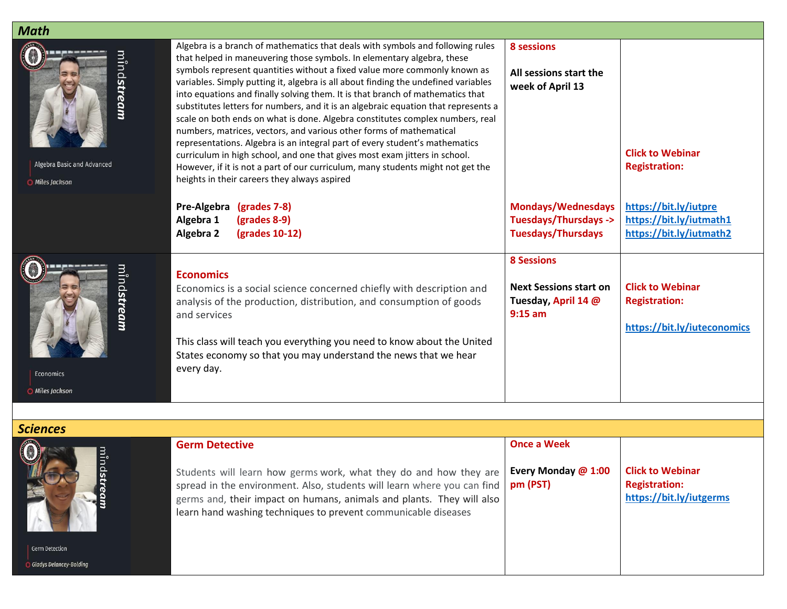| <b>Math</b>                                                         |                                                                                                                                                                                                                                                                                                                                                                                                                                                                                                                                                                                                                                                                                                                                                                                                                                                                                                                                                             |                                                                                        |                                                                                |
|---------------------------------------------------------------------|-------------------------------------------------------------------------------------------------------------------------------------------------------------------------------------------------------------------------------------------------------------------------------------------------------------------------------------------------------------------------------------------------------------------------------------------------------------------------------------------------------------------------------------------------------------------------------------------------------------------------------------------------------------------------------------------------------------------------------------------------------------------------------------------------------------------------------------------------------------------------------------------------------------------------------------------------------------|----------------------------------------------------------------------------------------|--------------------------------------------------------------------------------|
| mind <b>stream</b><br>Algebra Basic and Advanced<br>O Miles Jackson | Algebra is a branch of mathematics that deals with symbols and following rules<br>that helped in maneuvering those symbols. In elementary algebra, these<br>symbols represent quantities without a fixed value more commonly known as<br>variables. Simply putting it, algebra is all about finding the undefined variables<br>into equations and finally solving them. It is that branch of mathematics that<br>substitutes letters for numbers, and it is an algebraic equation that represents a<br>scale on both ends on what is done. Algebra constitutes complex numbers, real<br>numbers, matrices, vectors, and various other forms of mathematical<br>representations. Algebra is an integral part of every student's mathematics<br>curriculum in high school, and one that gives most exam jitters in school.<br>However, if it is not a part of our curriculum, many students might not get the<br>heights in their careers they always aspired | 8 sessions<br>All sessions start the<br>week of April 13                               | <b>Click to Webinar</b><br><b>Registration:</b>                                |
|                                                                     | Pre-Algebra (grades 7-8)<br>Algebra 1<br>(grades 8-9)                                                                                                                                                                                                                                                                                                                                                                                                                                                                                                                                                                                                                                                                                                                                                                                                                                                                                                       | <b>Mondays/Wednesdays</b><br>Tuesdays/Thursdays ->                                     | https://bit.ly/iutpre<br>https://bit.ly/iutmath1                               |
|                                                                     | Algebra 2<br>(grades 10-12)                                                                                                                                                                                                                                                                                                                                                                                                                                                                                                                                                                                                                                                                                                                                                                                                                                                                                                                                 | <b>Tuesdays/Thursdays</b>                                                              | https://bit.ly/iutmath2                                                        |
| m <sup>î</sup> nd <b>stream</b><br>Economics<br>O Miles Jackson     | <b>Economics</b><br>Economics is a social science concerned chiefly with description and<br>analysis of the production, distribution, and consumption of goods<br>and services<br>This class will teach you everything you need to know about the United<br>States economy so that you may understand the news that we hear<br>every day.                                                                                                                                                                                                                                                                                                                                                                                                                                                                                                                                                                                                                   | <b>8 Sessions</b><br><b>Next Sessions start on</b><br>Tuesday, April 14 @<br>$9:15$ am | <b>Click to Webinar</b><br><b>Registration:</b><br>https://bit.ly/iuteconomics |
|                                                                     |                                                                                                                                                                                                                                                                                                                                                                                                                                                                                                                                                                                                                                                                                                                                                                                                                                                                                                                                                             |                                                                                        |                                                                                |
| <b>Sciences</b>                                                     | <b>Germ Detective</b>                                                                                                                                                                                                                                                                                                                                                                                                                                                                                                                                                                                                                                                                                                                                                                                                                                                                                                                                       | <b>Once a Week</b>                                                                     |                                                                                |
| min<br>Germ Detection                                               | Students will learn how germs work, what they do and how they are<br>spread in the environment. Also, students will learn where you can find<br>germs and, their impact on humans, animals and plants. They will also<br>learn hand washing techniques to prevent communicable diseases                                                                                                                                                                                                                                                                                                                                                                                                                                                                                                                                                                                                                                                                     | Every Monday @ 1:00<br>pm (PST)                                                        | <b>Click to Webinar</b><br><b>Registration:</b><br>https://bit.ly/iutgerms     |
| <b>Gladys Delancey-Bolding</b>                                      |                                                                                                                                                                                                                                                                                                                                                                                                                                                                                                                                                                                                                                                                                                                                                                                                                                                                                                                                                             |                                                                                        |                                                                                |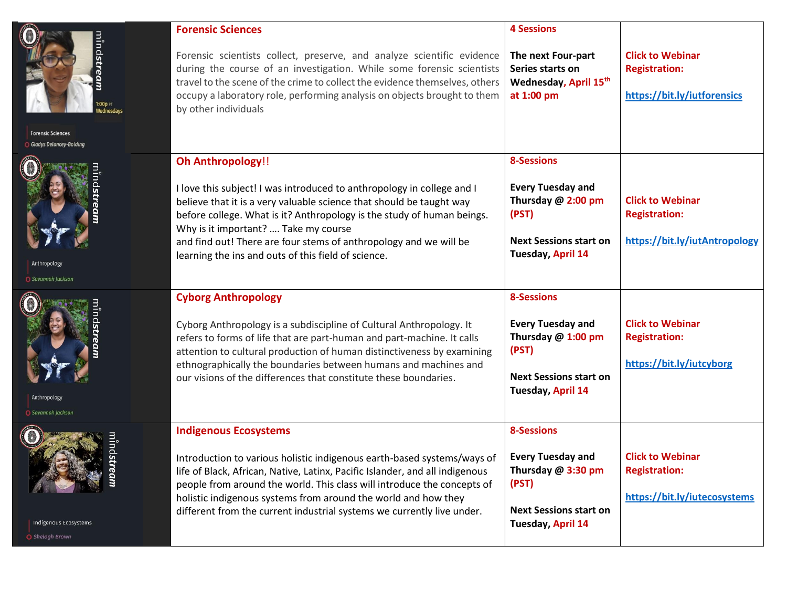|                                                            | <b>Forensic Sciences</b>                                                                                                                                                                                                                                                                                                                                                                                                 | <b>4 Sessions</b>                                                                                                                  |                                                                                  |
|------------------------------------------------------------|--------------------------------------------------------------------------------------------------------------------------------------------------------------------------------------------------------------------------------------------------------------------------------------------------------------------------------------------------------------------------------------------------------------------------|------------------------------------------------------------------------------------------------------------------------------------|----------------------------------------------------------------------------------|
| ninds                                                      | Forensic scientists collect, preserve, and analyze scientific evidence<br>during the course of an investigation. While some forensic scientists<br>travel to the scene of the crime to collect the evidence themselves, others<br>occupy a laboratory role, performing analysis on objects brought to them<br>by other individuals                                                                                       | The next Four-part<br>Series starts on<br>Wednesday, April 15th<br>at 1:00 pm                                                      | <b>Click to Webinar</b><br><b>Registration:</b><br>https://bit.ly/iutforensics   |
| <b>Forensic Sciences</b><br><b>Gladys Delancey-Bolding</b> |                                                                                                                                                                                                                                                                                                                                                                                                                          |                                                                                                                                    |                                                                                  |
| Anthropology<br>Savannah Jackson                           | <b>Oh Anthropology!!</b><br>I love this subject! I was introduced to anthropology in college and I<br>believe that it is a very valuable science that should be taught way<br>before college. What is it? Anthropology is the study of human beings.<br>Why is it important?  Take my course<br>and find out! There are four stems of anthropology and we will be<br>learning the ins and outs of this field of science. | <b>8-Sessions</b><br><b>Every Tuesday and</b><br>Thursday @ 2:00 pm<br>(PST)<br><b>Next Sessions start on</b><br>Tuesday, April 14 | <b>Click to Webinar</b><br><b>Registration:</b><br>https://bit.ly/iutAntropology |
| <b>O</b> Savannah Jackson                                  | <b>Cyborg Anthropology</b><br>Cyborg Anthropology is a subdiscipline of Cultural Anthropology. It<br>refers to forms of life that are part-human and part-machine. It calls<br>attention to cultural production of human distinctiveness by examining<br>ethnographically the boundaries between humans and machines and<br>our visions of the differences that constitute these boundaries.                             | <b>8-Sessions</b><br><b>Every Tuesday and</b><br>Thursday @ 1:00 pm<br>(PST)<br><b>Next Sessions start on</b><br>Tuesday, April 14 | <b>Click to Webinar</b><br><b>Registration:</b><br>https://bit.ly/iutcyborg      |
| Indigenous Ecosystems<br>Shelagh Brown                     | <b>Indigenous Ecosystems</b><br>Introduction to various holistic indigenous earth-based systems/ways of<br>life of Black, African, Native, Latinx, Pacific Islander, and all indigenous<br>people from around the world. This class will introduce the concepts of<br>holistic indigenous systems from around the world and how they<br>different from the current industrial systems we currently live under.           | <b>8-Sessions</b><br><b>Every Tuesday and</b><br>Thursday @ 3:30 pm<br>(PST)<br><b>Next Sessions start on</b><br>Tuesday, April 14 | <b>Click to Webinar</b><br><b>Registration:</b><br>https://bit.ly/iutecosystems  |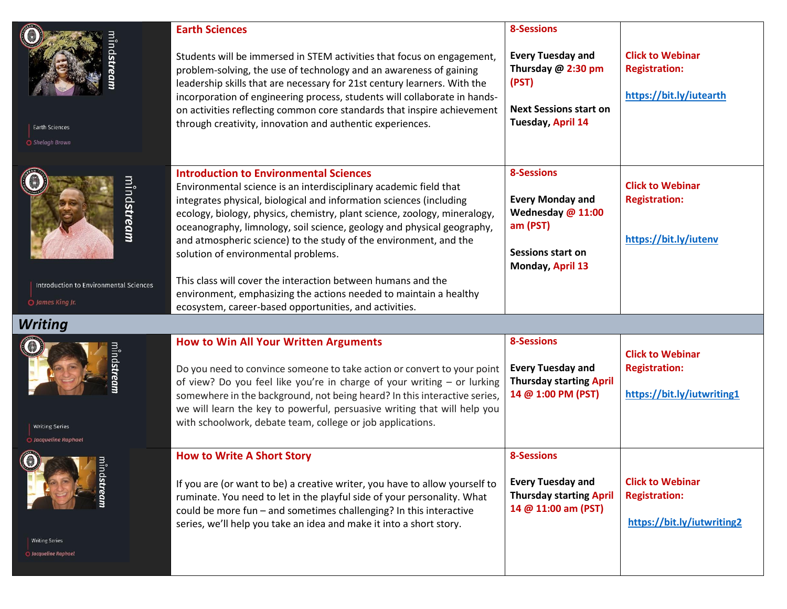| <b>Earth Sciences</b><br>◯ Shelagh Brown                                         | <b>Earth Sciences</b><br>Students will be immersed in STEM activities that focus on engagement,<br>problem-solving, the use of technology and an awareness of gaining<br>leadership skills that are necessary for 21st century learners. With the<br>incorporation of engineering process, students will collaborate in hands-<br>on activities reflecting common core standards that inspire achievement<br>through creativity, innovation and authentic experiences.                                                                                                                                                                                      | <b>8-Sessions</b><br><b>Every Tuesday and</b><br>Thursday @ 2:30 pm<br>(PST)<br><b>Next Sessions start on</b><br>Tuesday, April 14 | <b>Click to Webinar</b><br><b>Registration:</b><br>https://bit.ly/iutearth    |
|----------------------------------------------------------------------------------|-------------------------------------------------------------------------------------------------------------------------------------------------------------------------------------------------------------------------------------------------------------------------------------------------------------------------------------------------------------------------------------------------------------------------------------------------------------------------------------------------------------------------------------------------------------------------------------------------------------------------------------------------------------|------------------------------------------------------------------------------------------------------------------------------------|-------------------------------------------------------------------------------|
| mind <b>stream</b><br>Introduction to Environmental Sciences<br>O James King Jr. | <b>Introduction to Environmental Sciences</b><br>Environmental science is an interdisciplinary academic field that<br>integrates physical, biological and information sciences (including<br>ecology, biology, physics, chemistry, plant science, zoology, mineralogy,<br>oceanography, limnology, soil science, geology and physical geography,<br>and atmospheric science) to the study of the environment, and the<br>solution of environmental problems.<br>This class will cover the interaction between humans and the<br>environment, emphasizing the actions needed to maintain a healthy<br>ecosystem, career-based opportunities, and activities. | <b>8-Sessions</b><br><b>Every Monday and</b><br>Wednesday @ 11:00<br>am (PST)<br><b>Sessions start on</b><br>Monday, April 13      | <b>Click to Webinar</b><br><b>Registration:</b><br>https://bit.ly/iutenv      |
| <b>Writing</b>                                                                   |                                                                                                                                                                                                                                                                                                                                                                                                                                                                                                                                                                                                                                                             |                                                                                                                                    |                                                                               |
| <b>Writing Series</b><br>O Jacqueline Raphael                                    | <b>How to Win All Your Written Arguments</b><br>Do you need to convince someone to take action or convert to your point<br>of view? Do you feel like you're in charge of your writing - or lurking<br>somewhere in the background, not being heard? In this interactive series,<br>we will learn the key to powerful, persuasive writing that will help you<br>with schoolwork, debate team, college or job applications.                                                                                                                                                                                                                                   | <b>8-Sessions</b><br><b>Every Tuesday and</b><br><b>Thursday starting April</b><br>14 @ 1:00 PM (PST)                              | <b>Click to Webinar</b><br><b>Registration:</b><br>https://bit.ly/iutwriting1 |
| <b>Writing Series</b><br>O Jacqueline Raphael                                    | <b>How to Write A Short Story</b><br>If you are (or want to be) a creative writer, you have to allow yourself to<br>ruminate. You need to let in the playful side of your personality. What<br>could be more fun - and sometimes challenging? In this interactive<br>series, we'll help you take an idea and make it into a short story.                                                                                                                                                                                                                                                                                                                    | <b>8-Sessions</b><br><b>Every Tuesday and</b><br><b>Thursday starting April</b><br>14 @ 11:00 am (PST)                             | <b>Click to Webinar</b><br><b>Registration:</b><br>https://bit.ly/iutwriting2 |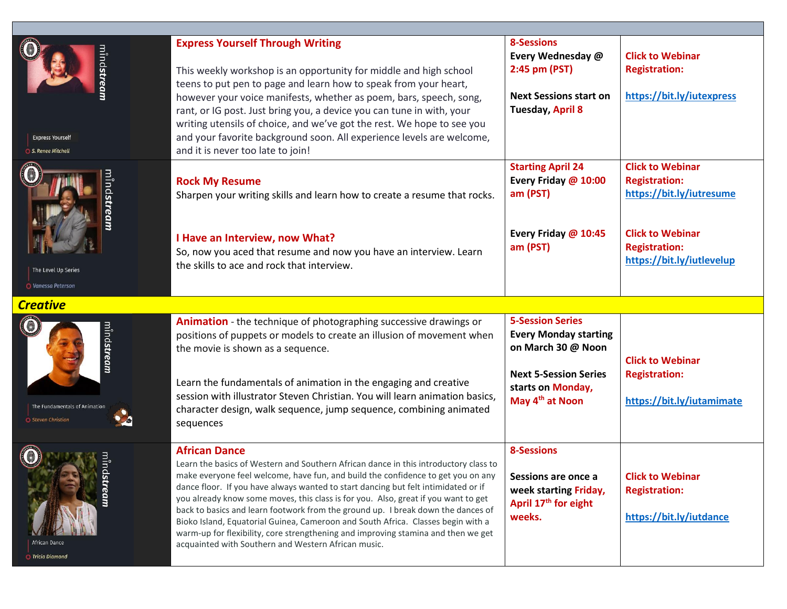| nind <b>stream</b><br><b>Express Yourself</b><br>S. Renee Mitchell | <b>Express Yourself Through Writing</b><br>This weekly workshop is an opportunity for middle and high school<br>teens to put pen to page and learn how to speak from your heart,<br>however your voice manifests, whether as poem, bars, speech, song,<br>rant, or IG post. Just bring you, a device you can tune in with, your<br>writing utensils of choice, and we've got the rest. We hope to see you<br>and your favorite background soon. All experience levels are welcome,<br>and it is never too late to join!                                                                                                                                                                          | <b>8-Sessions</b><br>Every Wednesday @<br>2:45 pm (PST)<br><b>Next Sessions start on</b><br><b>Tuesday, April 8</b>                                               | <b>Click to Webinar</b><br><b>Registration:</b><br>https://bit.ly/iutexpress                                                                                |
|--------------------------------------------------------------------|--------------------------------------------------------------------------------------------------------------------------------------------------------------------------------------------------------------------------------------------------------------------------------------------------------------------------------------------------------------------------------------------------------------------------------------------------------------------------------------------------------------------------------------------------------------------------------------------------------------------------------------------------------------------------------------------------|-------------------------------------------------------------------------------------------------------------------------------------------------------------------|-------------------------------------------------------------------------------------------------------------------------------------------------------------|
| nind <b>strean</b><br>The Level Up Series<br>O Vanessa Peterson    | <b>Rock My Resume</b><br>Sharpen your writing skills and learn how to create a resume that rocks.<br>I Have an Interview, now What?<br>So, now you aced that resume and now you have an interview. Learn<br>the skills to ace and rock that interview.                                                                                                                                                                                                                                                                                                                                                                                                                                           | <b>Starting April 24</b><br>Every Friday @ 10:00<br>am (PST)<br>Every Friday @ 10:45<br>am (PST)                                                                  | <b>Click to Webinar</b><br><b>Registration:</b><br>https://bit.ly/iutresume<br><b>Click to Webinar</b><br><b>Registration:</b><br>https://bit.ly/iutlevelup |
| <b>Creative</b>                                                    |                                                                                                                                                                                                                                                                                                                                                                                                                                                                                                                                                                                                                                                                                                  |                                                                                                                                                                   |                                                                                                                                                             |
| nind <b>strean</b><br>The Fundamentals of Animation                | <b>Animation</b> - the technique of photographing successive drawings or<br>positions of puppets or models to create an illusion of movement when<br>the movie is shown as a sequence.<br>Learn the fundamentals of animation in the engaging and creative<br>session with illustrator Steven Christian. You will learn animation basics,<br>character design, walk sequence, jump sequence, combining animated<br>sequences                                                                                                                                                                                                                                                                     | <b>5-Session Series</b><br><b>Every Monday starting</b><br>on March 30 @ Noon<br><b>Next 5-Session Series</b><br>starts on Monday,<br>May 4 <sup>th</sup> at Noon | <b>Click to Webinar</b><br><b>Registration:</b><br>https://bit.ly/iutamimate                                                                                |
| stream<br>African Dance<br>Tricia Diamond                          | <b>African Dance</b><br>Learn the basics of Western and Southern African dance in this introductory class to<br>make everyone feel welcome, have fun, and build the confidence to get you on any<br>dance floor. If you have always wanted to start dancing but felt intimidated or if<br>you already know some moves, this class is for you. Also, great if you want to get<br>back to basics and learn footwork from the ground up. I break down the dances of<br>Bioko Island, Equatorial Guinea, Cameroon and South Africa. Classes begin with a<br>warm-up for flexibility, core strengthening and improving stamina and then we get<br>acquainted with Southern and Western African music. | <b>8-Sessions</b><br>Sessions are once a<br>week starting Friday,<br>April 17 <sup>th</sup> for eight<br>weeks.                                                   | <b>Click to Webinar</b><br><b>Registration:</b><br>https://bit.ly/iutdance                                                                                  |